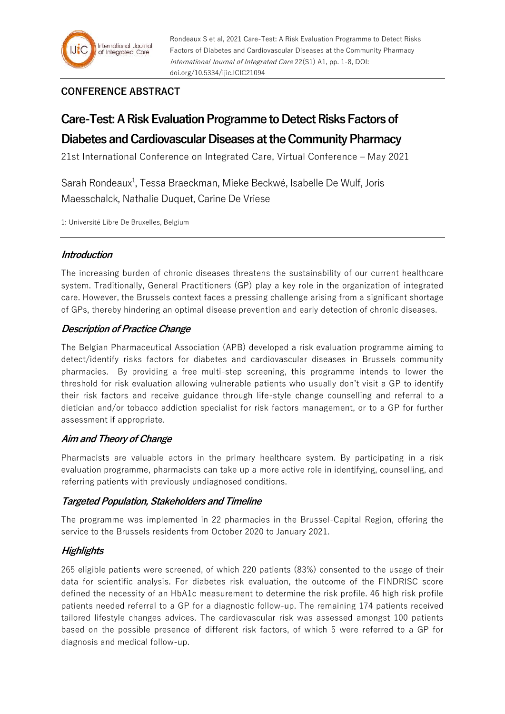Rondeaux S et al, 2021 Care-Test: A Risk Evaluation Programme to Detect Risks Factors of Diabetes and Cardiovascular Diseases at the Community Pharmacy International Journal of Integrated Care 22(S1) A1, pp. 1-8, DOI: doi.org/10.5334/ijic.ICIC21094

## **CONFERENCE ABSTRACT**

# **Care-Test: A Risk Evaluation Programme to Detect Risks Factors of**

## **Diabetes and Cardiovascular Diseases at the Community Pharmacy**

21st International Conference on Integrated Care, Virtual Conference – May 2021

Sarah Rondeaux<sup>1</sup>, Tessa Braeckman, Mieke Beckwé, Isabelle De Wulf, Joris Maesschalck, Nathalie Duquet, Carine De Vriese

1: Université Libre De Bruxelles, Belgium

## **Introduction**

The increasing burden of chronic diseases threatens the sustainability of our current healthcare system. Traditionally, General Practitioners (GP) play a key role in the organization of integrated care. However, the Brussels context faces a pressing challenge arising from a significant shortage of GPs, thereby hindering an optimal disease prevention and early detection of chronic diseases.

## **Description of Practice Change**

The Belgian Pharmaceutical Association (APB) developed a risk evaluation programme aiming to detect/identify risks factors for diabetes and cardiovascular diseases in Brussels community pharmacies. By providing a free multi-step screening, this programme intends to lower the threshold for risk evaluation allowing vulnerable patients who usually don't visit a GP to identify their risk factors and receive guidance through life-style change counselling and referral to a dietician and/or tobacco addiction specialist for risk factors management, or to a GP for further assessment if appropriate.

## **Aim and Theory of Change**

Pharmacists are valuable actors in the primary healthcare system. By participating in a risk evaluation programme, pharmacists can take up a more active role in identifying, counselling, and referring patients with previously undiagnosed conditions.

## **Targeted Population, Stakeholders and Timeline**

The programme was implemented in 22 pharmacies in the Brussel-Capital Region, offering the service to the Brussels residents from October 2020 to January 2021.

## **Highlights**

265 eligible patients were screened, of which 220 patients (83%) consented to the usage of their data for scientific analysis. For diabetes risk evaluation, the outcome of the FINDRISC score defined the necessity of an HbA1c measurement to determine the risk profile. 46 high risk profile patients needed referral to a GP for a diagnostic follow-up. The remaining 174 patients received tailored lifestyle changes advices. The cardiovascular risk was assessed amongst 100 patients based on the possible presence of different risk factors, of which 5 were referred to a GP for diagnosis and medical follow-up.